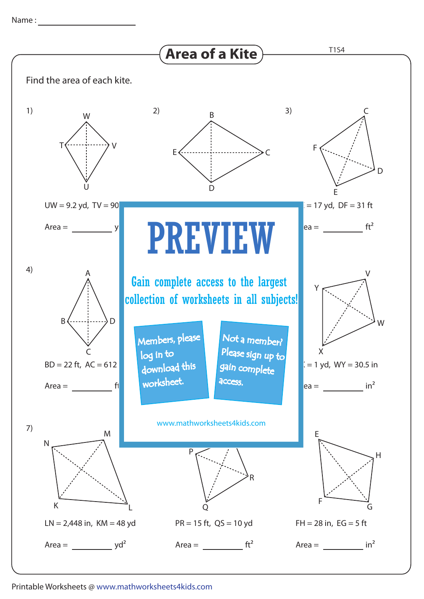